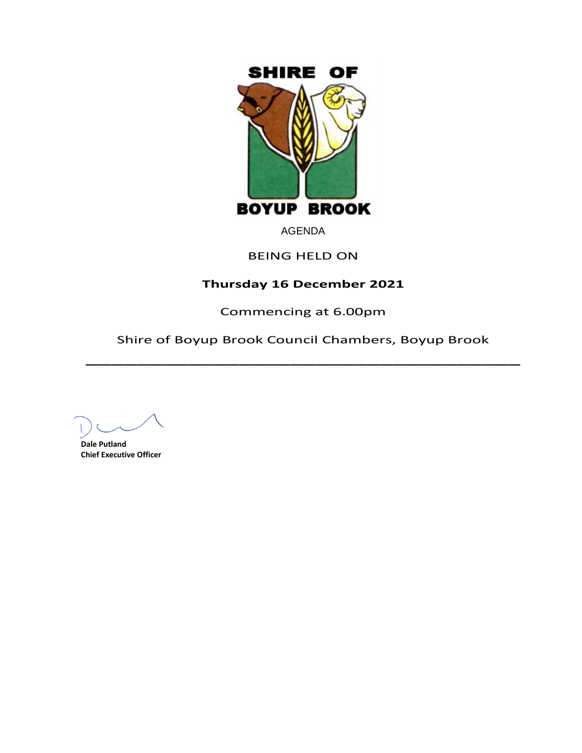

# AGENDA

# BEING HELD ON

# **Thursday 16 December 2021**

Commencing at 6.00pm

Shire of Boyup Brook Council Chambers, Boyup Brook  $\overline{\phantom{a}}$ 

**Dale Putland Chief Executive Officer**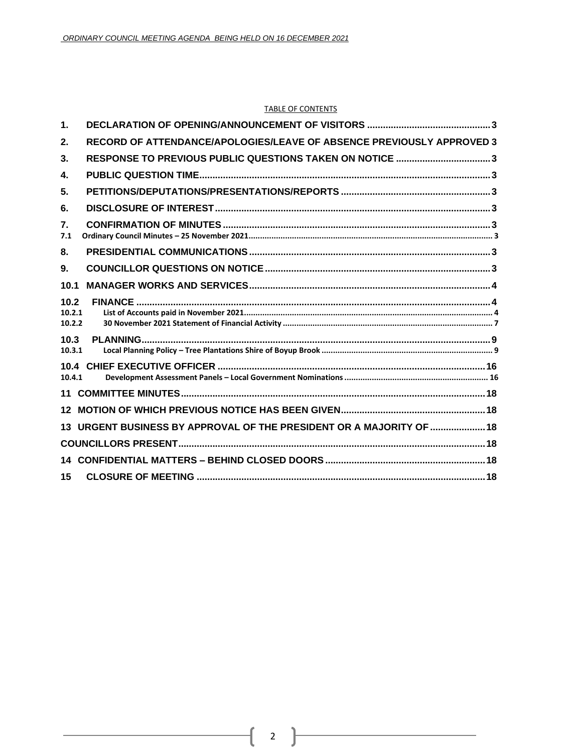#### TABLE OF CONTENTS

| $\mathbf 1$ .            |                                                                       |  |
|--------------------------|-----------------------------------------------------------------------|--|
| 2.                       | RECORD OF ATTENDANCE/APOLOGIES/LEAVE OF ABSENCE PREVIOUSLY APPROVED 3 |  |
| 3.                       | RESPONSE TO PREVIOUS PUBLIC QUESTIONS TAKEN ON NOTICE 3               |  |
| 4.                       |                                                                       |  |
| 5.                       |                                                                       |  |
| 6.                       |                                                                       |  |
| 7.<br>7.1                |                                                                       |  |
| 8.                       |                                                                       |  |
| 9.                       |                                                                       |  |
| 10.1                     |                                                                       |  |
| 10.2<br>10.2.1<br>10.2.2 |                                                                       |  |
| 10.3<br>10.3.1           |                                                                       |  |
| 10.4.1                   |                                                                       |  |
| 11                       |                                                                       |  |
|                          |                                                                       |  |
|                          | 13 URGENT BUSINESS BY APPROVAL OF THE PRESIDENT OR A MAJORITY OF  18  |  |
|                          |                                                                       |  |
|                          |                                                                       |  |
| 15                       |                                                                       |  |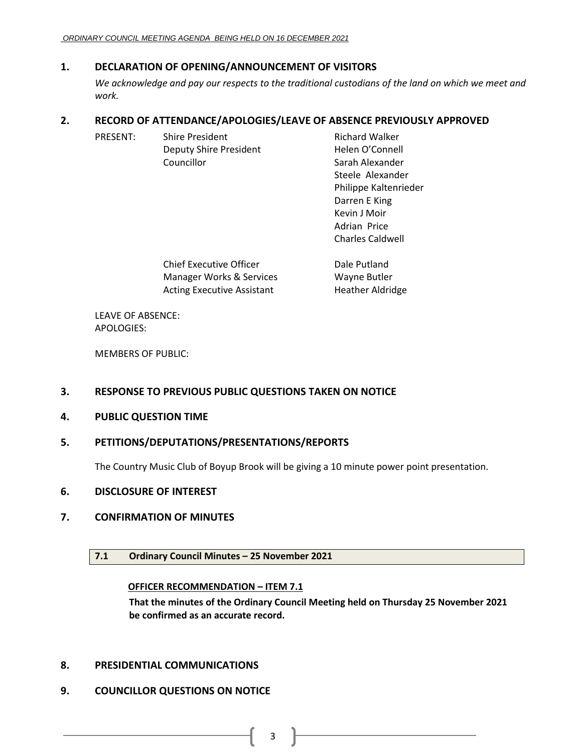# <span id="page-2-0"></span>**1. DECLARATION OF OPENING/ANNOUNCEMENT OF VISITORS**

*We acknowledge and pay our respects to the traditional custodians of the land on which we meet and work.*

# <span id="page-2-1"></span>**2. RECORD OF ATTENDANCE/APOLOGIES/LEAVE OF ABSENCE PREVIOUSLY APPROVED**

| PRESENT: | <b>Shire President</b>                                                                                                                                                                                                                                                                                                                                            | <b>Richard Walker</b>   |
|----------|-------------------------------------------------------------------------------------------------------------------------------------------------------------------------------------------------------------------------------------------------------------------------------------------------------------------------------------------------------------------|-------------------------|
|          | Deputy Shire President                                                                                                                                                                                                                                                                                                                                            | Helen O'Connell         |
|          | Councillor                                                                                                                                                                                                                                                                                                                                                        | Sarah Alexander         |
|          |                                                                                                                                                                                                                                                                                                                                                                   | Steele Alexander        |
|          |                                                                                                                                                                                                                                                                                                                                                                   | Philippe Kaltenrieder   |
|          |                                                                                                                                                                                                                                                                                                                                                                   | Darren E King           |
|          |                                                                                                                                                                                                                                                                                                                                                                   | Kevin J Moir            |
|          |                                                                                                                                                                                                                                                                                                                                                                   | Adrian Price            |
|          |                                                                                                                                                                                                                                                                                                                                                                   | <b>Charles Caldwell</b> |
|          | $\bigcap_{i=1}^n \bigcup_{i=1}^n \bigcap_{i=1}^n \bigcup_{i=1}^n \bigcup_{i=1}^n \bigcup_{i=1}^n \bigcup_{i=1}^n \bigcup_{i=1}^n \bigcup_{i=1}^n \bigcup_{i=1}^n \bigcup_{i=1}^n \bigcup_{i=1}^n \bigcup_{i=1}^n \bigcup_{i=1}^n \bigcup_{i=1}^n \bigcup_{i=1}^n \bigcup_{i=1}^n \bigcup_{i=1}^n \bigcup_{i=1}^n \bigcup_{i=1}^n \bigcup_{i=1}^n \bigcup_{i=1}^n$ | المستقلحات والمتلاح     |

| Chief Executive Officer    | Dale Putland            |
|----------------------------|-------------------------|
| Manager Works & Services   | Wayne Butler            |
| Acting Executive Assistant | <b>Heather Aldridge</b> |

LEAVE OF ABSENCE: APOLOGIES:

MEMBERS OF PUBLIC:

# <span id="page-2-2"></span>**3. RESPONSE TO PREVIOUS PUBLIC QUESTIONS TAKEN ON NOTICE**

<span id="page-2-3"></span>**4. PUBLIC QUESTION TIME**

# <span id="page-2-4"></span>**5. PETITIONS/DEPUTATIONS/PRESENTATIONS/REPORTS**

The Country Music Club of Boyup Brook will be giving a 10 minute power point presentation.

# <span id="page-2-5"></span>**6. DISCLOSURE OF INTEREST**

# <span id="page-2-7"></span><span id="page-2-6"></span>**7. CONFIRMATION OF MINUTES**

# **7.1 Ordinary Council Minutes – 25 November 2021**

# **OFFICER RECOMMENDATION – ITEM 7.1**

**That the minutes of the Ordinary Council Meeting held on Thursday 25 November 2021 be confirmed as an accurate record.**

# <span id="page-2-8"></span>**8. PRESIDENTIAL COMMUNICATIONS**

# <span id="page-2-9"></span>**9. COUNCILLOR QUESTIONS ON NOTICE**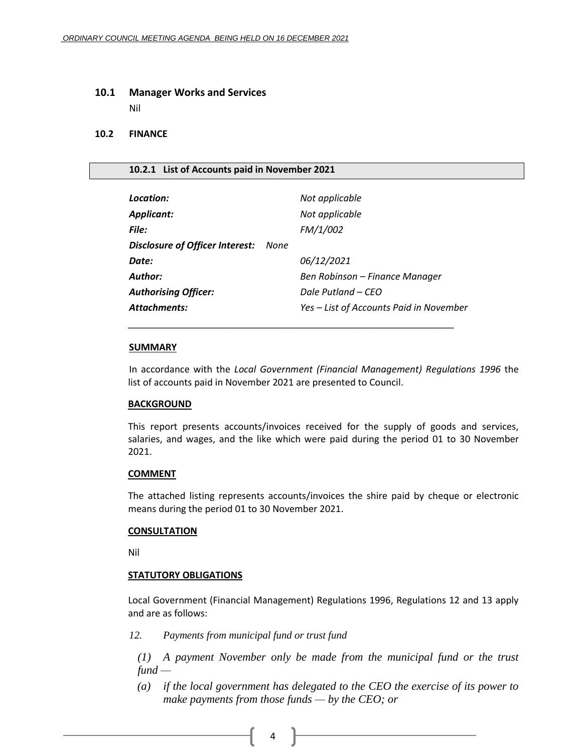#### <span id="page-3-0"></span>**10.1 Manager Works and Services**

Nil

# <span id="page-3-1"></span>**10.2 FINANCE**

#### <span id="page-3-2"></span>**10.2.1 List of Accounts paid in November 2021**

| Location:                                   | Not applicable                          |
|---------------------------------------------|-----------------------------------------|
| <b>Applicant:</b>                           | Not applicable                          |
| <b>File:</b>                                | FM/1/002                                |
| <b>Disclosure of Officer Interest:</b> None |                                         |
| Date:                                       | 06/12/2021                              |
| Author:                                     | Ben Robinson – Finance Manager          |
| <b>Authorising Officer:</b>                 | Dale Putland – CEO                      |
| Attachments:                                | Yes – List of Accounts Paid in November |
|                                             |                                         |

#### **SUMMARY**

In accordance with the *Local Government (Financial Management) Regulations 1996* the list of accounts paid in November 2021 are presented to Council.

#### **BACKGROUND**

This report presents accounts/invoices received for the supply of goods and services, salaries, and wages, and the like which were paid during the period 01 to 30 November 2021.

#### **COMMENT**

The attached listing represents accounts/invoices the shire paid by cheque or electronic means during the period 01 to 30 November 2021.

#### **CONSULTATION**

Nil

### **STATUTORY OBLIGATIONS**

Local Government (Financial Management) Regulations 1996, Regulations 12 and 13 apply and are as follows:

*12. Payments from municipal fund or trust fund*

*(1) A payment November only be made from the municipal fund or the trust fund —*

*(a) if the local government has delegated to the CEO the exercise of its power to make payments from those funds — by the CEO; or*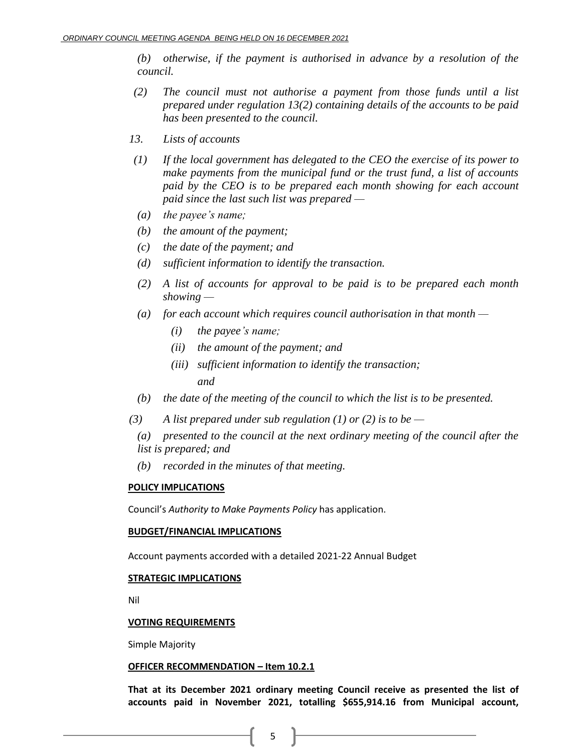*(b) otherwise, if the payment is authorised in advance by a resolution of the council.*

- *(2) The council must not authorise a payment from those funds until a list prepared under regulation 13(2) containing details of the accounts to be paid has been presented to the council.*
- *13. Lists of accounts*
- *(1) If the local government has delegated to the CEO the exercise of its power to make payments from the municipal fund or the trust fund, a list of accounts paid by the CEO is to be prepared each month showing for each account paid since the last such list was prepared —*
- *(a) the payee's name;*
- *(b) the amount of the payment;*
- *(c) the date of the payment; and*
- *(d) sufficient information to identify the transaction.*
- *(2) A list of accounts for approval to be paid is to be prepared each month showing —*
- *(a) for each account which requires council authorisation in that month —*
	- *(i) the payee's name;*
	- *(ii) the amount of the payment; and*
	- *(iii) sufficient information to identify the transaction;*

*and*

- *(b) the date of the meeting of the council to which the list is to be presented.*
- *(3) A list prepared under sub regulation (1) or (2) is to be —*
	- *(a) presented to the council at the next ordinary meeting of the council after the list is prepared; and*
	- *(b) recorded in the minutes of that meeting.*

### **POLICY IMPLICATIONS**

Council's *Authority to Make Payments Policy* has application.

### **BUDGET/FINANCIAL IMPLICATIONS**

Account payments accorded with a detailed 2021-22 Annual Budget

#### **STRATEGIC IMPLICATIONS**

Nil

### **VOTING REQUIREMENTS**

Simple Majority

#### **OFFICER RECOMMENDATION – Item 10.2.1**

**That at its December 2021 ordinary meeting Council receive as presented the list of accounts paid in November 2021, totalling \$655,914.16 from Municipal account,**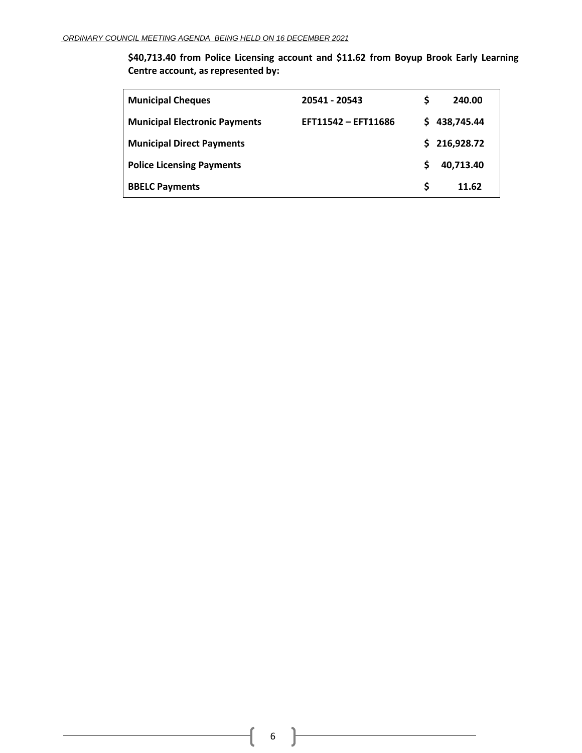**\$40,713.40 from Police Licensing account and \$11.62 from Boyup Brook Early Learning Centre account, as represented by:**

| <b>Municipal Cheques</b>             | 20541 - 20543       | S        | 240.00       |
|--------------------------------------|---------------------|----------|--------------|
| <b>Municipal Electronic Payments</b> | EFT11542 - EFT11686 |          | \$438,745.44 |
| <b>Municipal Direct Payments</b>     |                     |          | \$216,928.72 |
| <b>Police Licensing Payments</b>     |                     | <b>S</b> | 40.713.40    |
| <b>BBELC Payments</b>                |                     | S.       | 11.62        |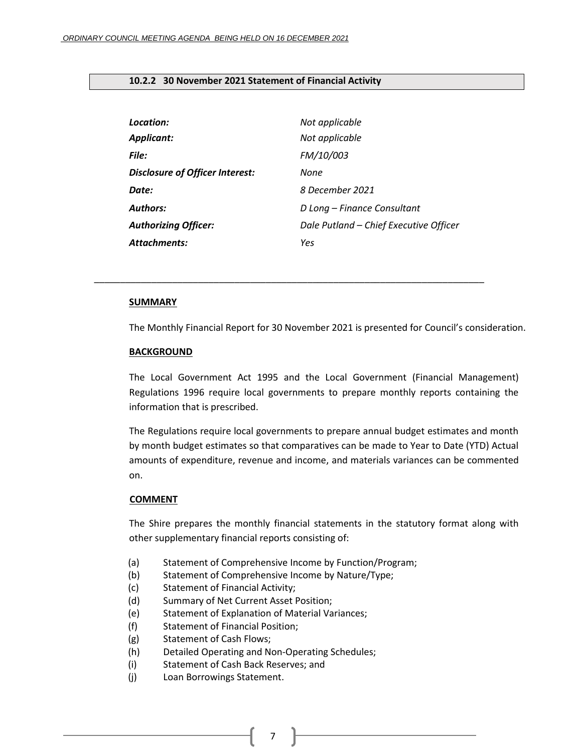### <span id="page-6-0"></span>**10.2.2 30 November 2021 Statement of Financial Activity**

| Location:                              | Not applicable                         |
|----------------------------------------|----------------------------------------|
| <b>Applicant:</b>                      | Not applicable                         |
| File:                                  | FM/10/003                              |
| <b>Disclosure of Officer Interest:</b> | None                                   |
| Date:                                  | 8 December 2021                        |
| <b>Authors:</b>                        | D Long - Finance Consultant            |
| <b>Authorizing Officer:</b>            | Dale Putland - Chief Executive Officer |
| Attachments:                           | Yes                                    |

*\_\_\_\_\_\_\_\_\_\_\_\_\_\_\_\_\_\_\_\_\_\_\_\_\_\_\_\_\_\_\_\_\_\_\_\_\_\_\_\_\_\_\_\_\_\_\_\_\_\_\_\_\_\_\_\_\_\_\_\_\_\_\_\_\_\_\_\_\_\_\_\_\_\_\_*

#### **SUMMARY**

The Monthly Financial Report for 30 November 2021 is presented for Council's consideration.

#### **BACKGROUND**

The Local Government Act 1995 and the Local Government (Financial Management) Regulations 1996 require local governments to prepare monthly reports containing the information that is prescribed.

The Regulations require local governments to prepare annual budget estimates and month by month budget estimates so that comparatives can be made to Year to Date (YTD) Actual amounts of expenditure, revenue and income, and materials variances can be commented on.

### **COMMENT**

The Shire prepares the monthly financial statements in the statutory format along with other supplementary financial reports consisting of:

- (a) Statement of Comprehensive Income by Function/Program;
- (b) Statement of Comprehensive Income by Nature/Type;
- (c) Statement of Financial Activity;
- (d) Summary of Net Current Asset Position;
- (e) Statement of Explanation of Material Variances;
- (f) Statement of Financial Position;
- (g) Statement of Cash Flows;
- (h) Detailed Operating and Non-Operating Schedules;
- (i) Statement of Cash Back Reserves; and
- (j) Loan Borrowings Statement.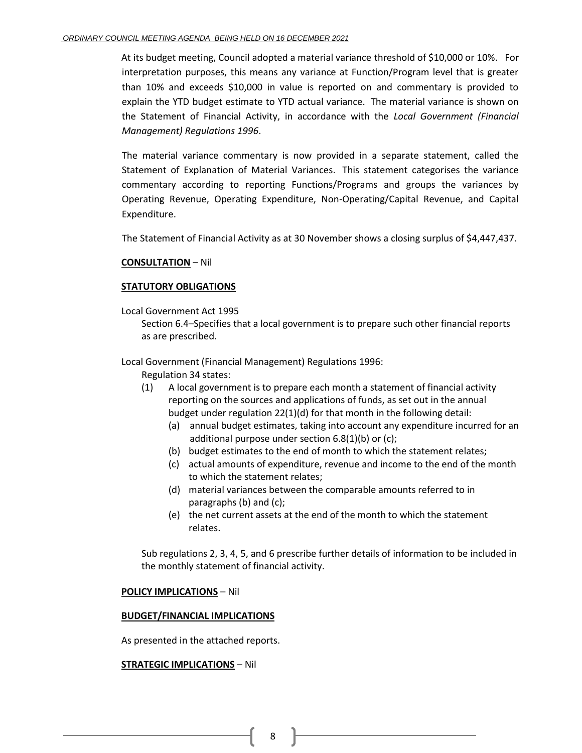At its budget meeting, Council adopted a material variance threshold of \$10,000 or 10%. For interpretation purposes, this means any variance at Function/Program level that is greater than 10% and exceeds \$10,000 in value is reported on and commentary is provided to explain the YTD budget estimate to YTD actual variance. The material variance is shown on the Statement of Financial Activity, in accordance with the *Local Government (Financial Management) Regulations 1996*.

The material variance commentary is now provided in a separate statement, called the Statement of Explanation of Material Variances. This statement categorises the variance commentary according to reporting Functions/Programs and groups the variances by Operating Revenue, Operating Expenditure, Non-Operating/Capital Revenue, and Capital Expenditure.

The Statement of Financial Activity as at 30 November shows a closing surplus of \$4,447,437.

### **CONSULTATION** – Nil

### **STATUTORY OBLIGATIONS**

Local Government Act 1995

Section 6.4–Specifies that a local government is to prepare such other financial reports as are prescribed.

Local Government (Financial Management) Regulations 1996:

- Regulation 34 states:
- (1) A local government is to prepare each month a statement of financial activity reporting on the sources and applications of funds, as set out in the annual budget under regulation 22(1)(d) for that month in the following detail:
	- (a) annual budget estimates, taking into account any expenditure incurred for an additional purpose under section 6.8(1)(b) or (c);
	- (b) budget estimates to the end of month to which the statement relates;
	- (c) actual amounts of expenditure, revenue and income to the end of the month to which the statement relates;
	- (d) material variances between the comparable amounts referred to in paragraphs (b) and (c);
	- (e) the net current assets at the end of the month to which the statement relates.

Sub regulations 2, 3, 4, 5, and 6 prescribe further details of information to be included in the monthly statement of financial activity.

### **POLICY IMPLICATIONS** – Nil

### **BUDGET/FINANCIAL IMPLICATIONS**

As presented in the attached reports.

### **STRATEGIC IMPLICATIONS** – Nil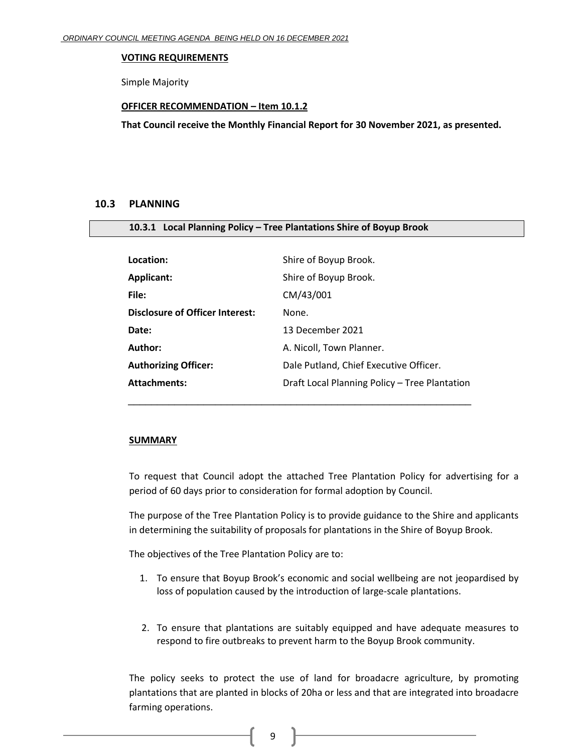#### **VOTING REQUIREMENTS**

Simple Majority

#### **OFFICER RECOMMENDATION – Item 10.1.2**

**That Council receive the Monthly Financial Report for 30 November 2021, as presented.**

### <span id="page-8-0"></span>**10.3 PLANNING**

<span id="page-8-1"></span>

|  | 10.3.1 Local Planning Policy - Tree Plantations Shire of Boyup Brook |  |  |  |  |
|--|----------------------------------------------------------------------|--|--|--|--|
|--|----------------------------------------------------------------------|--|--|--|--|

| Location:                              | Shire of Boyup Brook.                         |
|----------------------------------------|-----------------------------------------------|
| <b>Applicant:</b>                      | Shire of Boyup Brook.                         |
| File:                                  | CM/43/001                                     |
| <b>Disclosure of Officer Interest:</b> | None.                                         |
| Date:                                  | 13 December 2021                              |
| Author:                                | A. Nicoll, Town Planner.                      |
| <b>Authorizing Officer:</b>            | Dale Putland, Chief Executive Officer.        |
| <b>Attachments:</b>                    | Draft Local Planning Policy - Tree Plantation |
|                                        |                                               |

### **SUMMARY**

To request that Council adopt the attached Tree Plantation Policy for advertising for a period of 60 days prior to consideration for formal adoption by Council.

The purpose of the Tree Plantation Policy is to provide guidance to the Shire and applicants in determining the suitability of proposals for plantations in the Shire of Boyup Brook.

The objectives of the Tree Plantation Policy are to:

- 1. To ensure that Boyup Brook's economic and social wellbeing are not jeopardised by loss of population caused by the introduction of large-scale plantations.
- 2. To ensure that plantations are suitably equipped and have adequate measures to respond to fire outbreaks to prevent harm to the Boyup Brook community.

The policy seeks to protect the use of land for broadacre agriculture, by promoting plantations that are planted in blocks of 20ha or less and that are integrated into broadacre farming operations.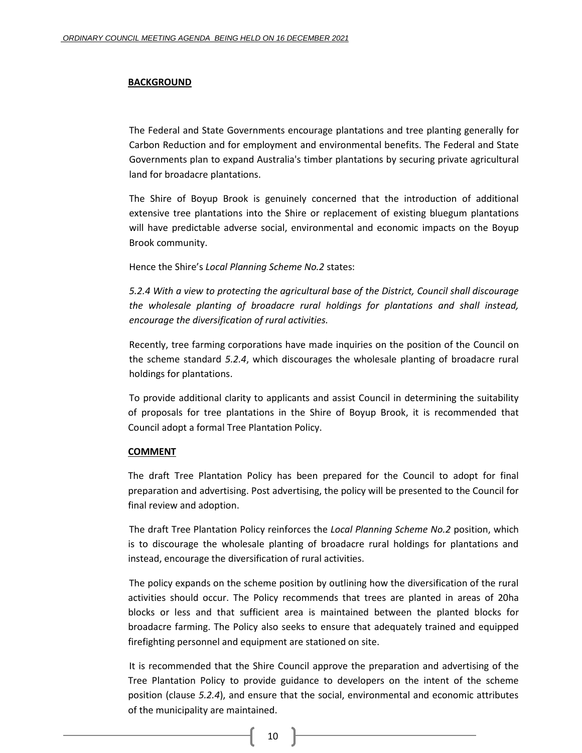#### **BACKGROUND**

The Federal and State Governments encourage plantations and tree planting generally for Carbon Reduction and for employment and environmental benefits. The Federal and State Governments plan to expand Australia's timber plantations by securing private agricultural land for broadacre plantations.

The Shire of Boyup Brook is genuinely concerned that the introduction of additional extensive tree plantations into the Shire or replacement of existing bluegum plantations will have predictable adverse social, environmental and economic impacts on the Boyup Brook community.

Hence the Shire's *Local Planning Scheme No.2* states:

*5.2.4 With a view to protecting the agricultural base of the District, Council shall discourage the wholesale planting of broadacre rural holdings for plantations and shall instead, encourage the diversification of rural activities.*

Recently, tree farming corporations have made inquiries on the position of the Council on the scheme standard *5.2.4*, which discourages the wholesale planting of broadacre rural holdings for plantations.

To provide additional clarity to applicants and assist Council in determining the suitability of proposals for tree plantations in the Shire of Boyup Brook, it is recommended that Council adopt a formal Tree Plantation Policy.

#### **COMMENT**

The draft Tree Plantation Policy has been prepared for the Council to adopt for final preparation and advertising. Post advertising, the policy will be presented to the Council for final review and adoption.

The draft Tree Plantation Policy reinforces the *Local Planning Scheme No.2* position, which is to discourage the wholesale planting of broadacre rural holdings for plantations and instead, encourage the diversification of rural activities.

The policy expands on the scheme position by outlining how the diversification of the rural activities should occur. The Policy recommends that trees are planted in areas of 20ha blocks or less and that sufficient area is maintained between the planted blocks for broadacre farming. The Policy also seeks to ensure that adequately trained and equipped firefighting personnel and equipment are stationed on site.

It is recommended that the Shire Council approve the preparation and advertising of the Tree Plantation Policy to provide guidance to developers on the intent of the scheme position (clause *5.2.4*), and ensure that the social, environmental and economic attributes of the municipality are maintained.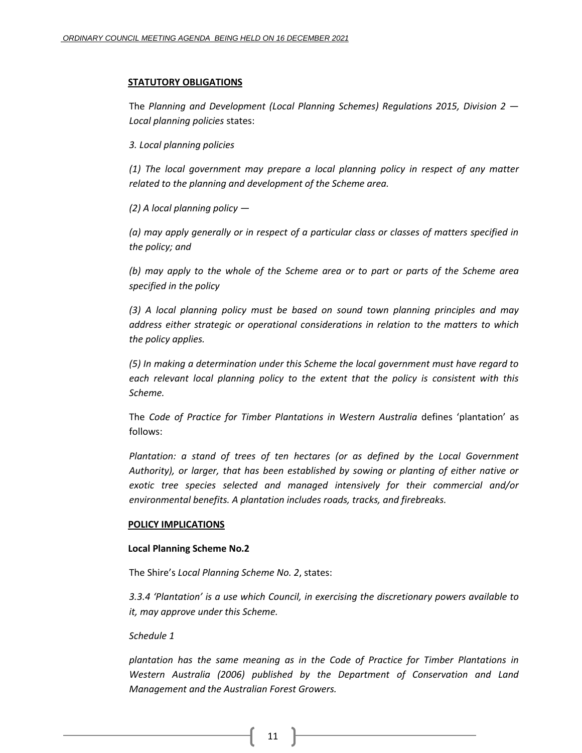#### **STATUTORY OBLIGATIONS**

The *Planning and Development (Local Planning Schemes) Regulations 2015, Division 2 — Local planning policies* states:

*3. Local planning policies* 

*(1) The local government may prepare a local planning policy in respect of any matter related to the planning and development of the Scheme area.* 

*(2) A local planning policy —*

*(a) may apply generally or in respect of a particular class or classes of matters specified in the policy; and* 

*(b) may apply to the whole of the Scheme area or to part or parts of the Scheme area specified in the policy*

*(3) A local planning policy must be based on sound town planning principles and may address either strategic or operational considerations in relation to the matters to which the policy applies.* 

*(5) In making a determination under this Scheme the local government must have regard to each relevant local planning policy to the extent that the policy is consistent with this Scheme.* 

The *Code of Practice for Timber Plantations in Western Australia* defines 'plantation' as follows:

*Plantation: a stand of trees of ten hectares (or as defined by the Local Government Authority), or larger, that has been established by sowing or planting of either native or exotic tree species selected and managed intensively for their commercial and/or environmental benefits. A plantation includes roads, tracks, and firebreaks.*

#### **POLICY IMPLICATIONS**

### **Local Planning Scheme No.2**

The Shire's *Local Planning Scheme No. 2*, states:

*3.3.4 'Plantation' is a use which Council, in exercising the discretionary powers available to it, may approve under this Scheme.*

#### *Schedule 1*

*plantation has the same meaning as in the Code of Practice for Timber Plantations in Western Australia (2006) published by the Department of Conservation and Land Management and the Australian Forest Growers.*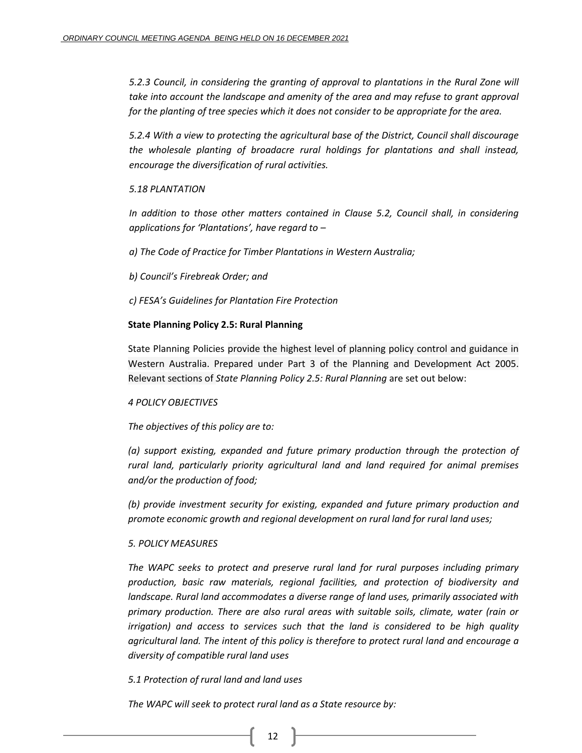*5.2.3 Council, in considering the granting of approval to plantations in the Rural Zone will take into account the landscape and amenity of the area and may refuse to grant approval for the planting of tree species which it does not consider to be appropriate for the area.*

*5.2.4 With a view to protecting the agricultural base of the District, Council shall discourage the wholesale planting of broadacre rural holdings for plantations and shall instead, encourage the diversification of rural activities.*

# *5.18 PLANTATION*

*In addition to those other matters contained in Clause 5.2, Council shall, in considering applications for 'Plantations', have regard to –*

*a) The Code of Practice for Timber Plantations in Western Australia;* 

*b) Council's Firebreak Order; and* 

*c) FESA's Guidelines for Plantation Fire Protection*

### **State Planning Policy 2.5: Rural Planning**

State Planning Policies provide the highest level of planning policy control and guidance in Western Australia. Prepared under Part 3 of the Planning and Development Act 2005. Relevant sections of *State Planning Policy 2.5: Rural Planning* are set out below:

# *4 POLICY OBJECTIVES*

*The objectives of this policy are to:* 

*(a) support existing, expanded and future primary production through the protection of rural land, particularly priority agricultural land and land required for animal premises and/or the production of food;* 

*(b) provide investment security for existing, expanded and future primary production and promote economic growth and regional development on rural land for rural land uses;*

# *5. POLICY MEASURES*

*The WAPC seeks to protect and preserve rural land for rural purposes including primary production, basic raw materials, regional facilities, and protection of biodiversity and landscape. Rural land accommodates a diverse range of land uses, primarily associated with primary production. There are also rural areas with suitable soils, climate, water (rain or irrigation) and access to services such that the land is considered to be high quality agricultural land. The intent of this policy is therefore to protect rural land and encourage a diversity of compatible rural land uses*

# *5.1 Protection of rural land and land uses*

*The WAPC will seek to protect rural land as a State resource by:*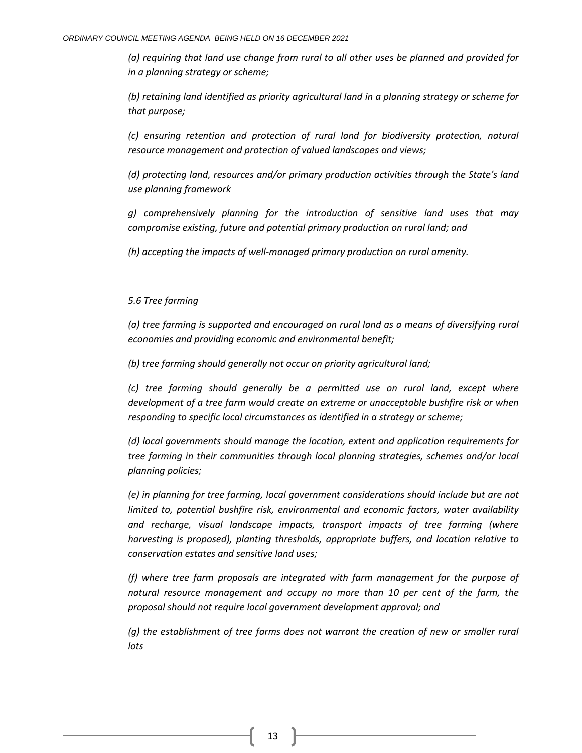*(a) requiring that land use change from rural to all other uses be planned and provided for in a planning strategy or scheme;* 

*(b) retaining land identified as priority agricultural land in a planning strategy or scheme for that purpose;* 

*(c) ensuring retention and protection of rural land for biodiversity protection, natural resource management and protection of valued landscapes and views;* 

*(d) protecting land, resources and/or primary production activities through the State's land use planning framework*

*g) comprehensively planning for the introduction of sensitive land uses that may compromise existing, future and potential primary production on rural land; and* 

*(h) accepting the impacts of well-managed primary production on rural amenity.*

# *5.6 Tree farming*

*(a) tree farming is supported and encouraged on rural land as a means of diversifying rural economies and providing economic and environmental benefit;*

*(b) tree farming should generally not occur on priority agricultural land;* 

*(c) tree farming should generally be a permitted use on rural land, except where development of a tree farm would create an extreme or unacceptable bushfire risk or when responding to specific local circumstances as identified in a strategy or scheme;* 

*(d) local governments should manage the location, extent and application requirements for tree farming in their communities through local planning strategies, schemes and/or local planning policies;* 

*(e) in planning for tree farming, local government considerations should include but are not limited to, potential bushfire risk, environmental and economic factors, water availability and recharge, visual landscape impacts, transport impacts of tree farming (where harvesting is proposed), planting thresholds, appropriate buffers, and location relative to conservation estates and sensitive land uses;* 

*(f) where tree farm proposals are integrated with farm management for the purpose of natural resource management and occupy no more than 10 per cent of the farm, the proposal should not require local government development approval; and* 

*(g) the establishment of tree farms does not warrant the creation of new or smaller rural lots*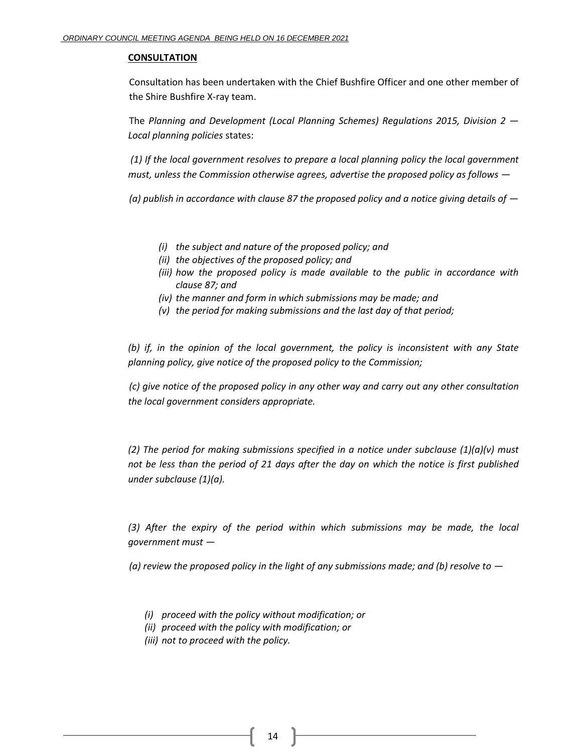### **CONSULTATION**

Consultation has been undertaken with the Chief Bushfire Officer and one other member of the Shire Bushfire X-ray team.

The *Planning and Development (Local Planning Schemes) Regulations 2015, Division 2 — Local planning policies* states:

*(1) If the local government resolves to prepare a local planning policy the local government must, unless the Commission otherwise agrees, advertise the proposed policy as follows —*

*(a) publish in accordance with clause 87 the proposed policy and a notice giving details of —*

- *(i) the subject and nature of the proposed policy; and*
- *(ii) the objectives of the proposed policy; and*
- *(iii) how the proposed policy is made available to the public in accordance with clause 87; and*
- *(iv) the manner and form in which submissions may be made; and*
- *(v) the period for making submissions and the last day of that period;*

*(b) if, in the opinion of the local government, the policy is inconsistent with any State planning policy, give notice of the proposed policy to the Commission;* 

*(c) give notice of the proposed policy in any other way and carry out any other consultation the local government considers appropriate.* 

*(2) The period for making submissions specified in a notice under subclause (1)(a)(v) must not be less than the period of 21 days after the day on which the notice is first published under subclause (1)(a).*

*(3) After the expiry of the period within which submissions may be made, the local government must —*

*(a) review the proposed policy in the light of any submissions made; and (b) resolve to —*

- *(i) proceed with the policy without modification; or*
- *(ii) proceed with the policy with modification; or*
- *(iii) not to proceed with the policy.*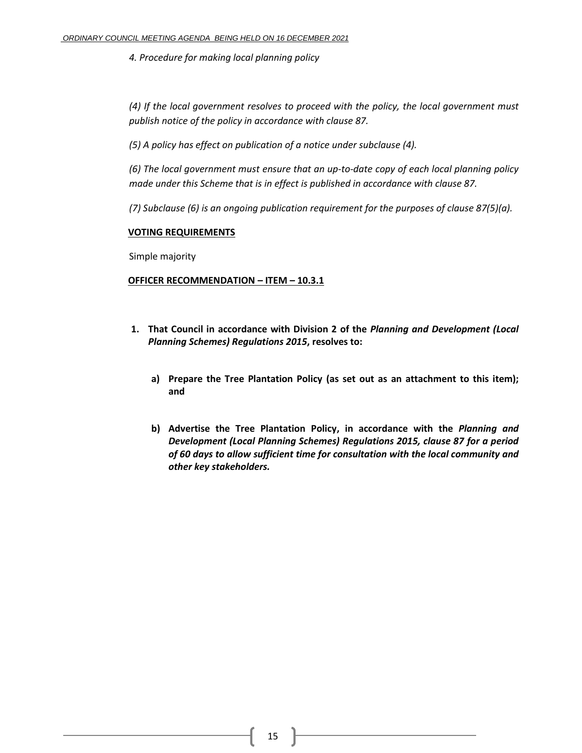*4. Procedure for making local planning policy* 

*(4) If the local government resolves to proceed with the policy, the local government must publish notice of the policy in accordance with clause 87.* 

*(5) A policy has effect on publication of a notice under subclause (4).* 

*(6) The local government must ensure that an up-to-date copy of each local planning policy made under this Scheme that is in effect is published in accordance with clause 87.* 

*(7) Subclause (6) is an ongoing publication requirement for the purposes of clause 87(5)(a).*

# **VOTING REQUIREMENTS**

Simple majority

# **OFFICER RECOMMENDATION – ITEM – 10.3.1**

- **1. That Council in accordance with Division 2 of the** *Planning and Development (Local Planning Schemes) Regulations 2015***, resolves to:**
	- **a) Prepare the Tree Plantation Policy (as set out as an attachment to this item); and**
	- **b) Advertise the Tree Plantation Policy, in accordance with the** *Planning and Development (Local Planning Schemes) Regulations 2015, clause 87 for a period of 60 days to allow sufficient time for consultation with the local community and other key stakeholders.*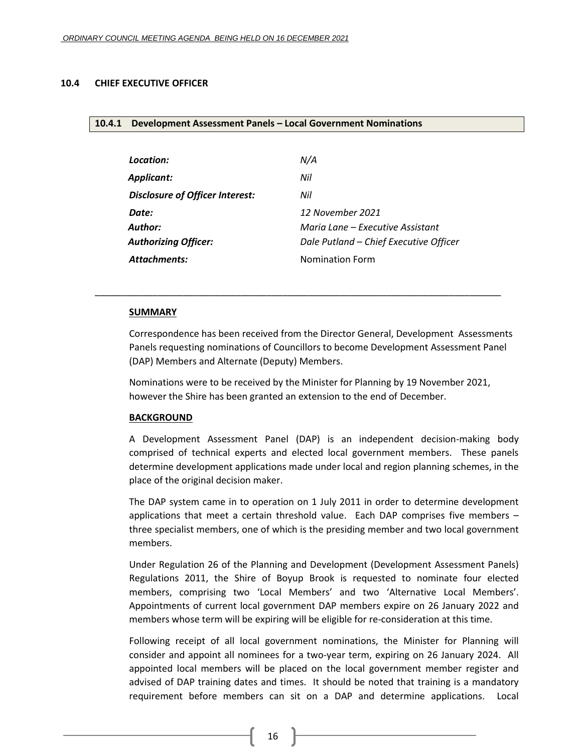#### <span id="page-15-1"></span><span id="page-15-0"></span>**10.4 CHIEF EXECUTIVE OFFICER**

#### **10.4.1 Development Assessment Panels – Local Government Nominations**

| Location:                       | N/A                                    |
|---------------------------------|----------------------------------------|
| <b>Applicant:</b>               | Nil                                    |
| Disclosure of Officer Interest: | Nil                                    |
| Date:                           | 12 November 2021                       |
| <b>Author:</b>                  | Maria Lane – Executive Assistant       |
| <b>Authorizing Officer:</b>     | Dale Putland - Chief Executive Officer |
| <b>Attachments:</b>             | <b>Nomination Form</b>                 |

\_\_\_\_\_\_\_\_\_\_\_\_\_\_\_\_\_\_\_\_\_\_\_\_\_\_\_\_\_\_\_\_\_\_\_\_\_\_\_\_\_\_\_\_\_\_\_\_\_\_\_\_\_\_\_\_\_\_\_\_\_\_\_\_\_\_\_\_\_\_\_\_\_\_\_\_\_\_

### **SUMMARY**

Correspondence has been received from the Director General, Development Assessments Panels requesting nominations of Councillors to become Development Assessment Panel (DAP) Members and Alternate (Deputy) Members.

Nominations were to be received by the Minister for Planning by 19 November 2021, however the Shire has been granted an extension to the end of December.

#### **BACKGROUND**

A Development Assessment Panel (DAP) is an independent decision-making body comprised of technical experts and elected local government members. These panels determine development applications made under local and region planning schemes, in the place of the original decision maker.

The DAP system came in to operation on 1 July 2011 in order to determine development applications that meet a certain threshold value. Each DAP comprises five members – three specialist members, one of which is the presiding member and two local government members.

Under Regulation 26 of the Planning and Development (Development Assessment Panels) Regulations 2011, the Shire of Boyup Brook is requested to nominate four elected members, comprising two 'Local Members' and two 'Alternative Local Members'. Appointments of current local government DAP members expire on 26 January 2022 and members whose term will be expiring will be eligible for re-consideration at this time.

Following receipt of all local government nominations, the Minister for Planning will consider and appoint all nominees for a two-year term, expiring on 26 January 2024. All appointed local members will be placed on the local government member register and advised of DAP training dates and times. It should be noted that training is a mandatory requirement before members can sit on a DAP and determine applications. Local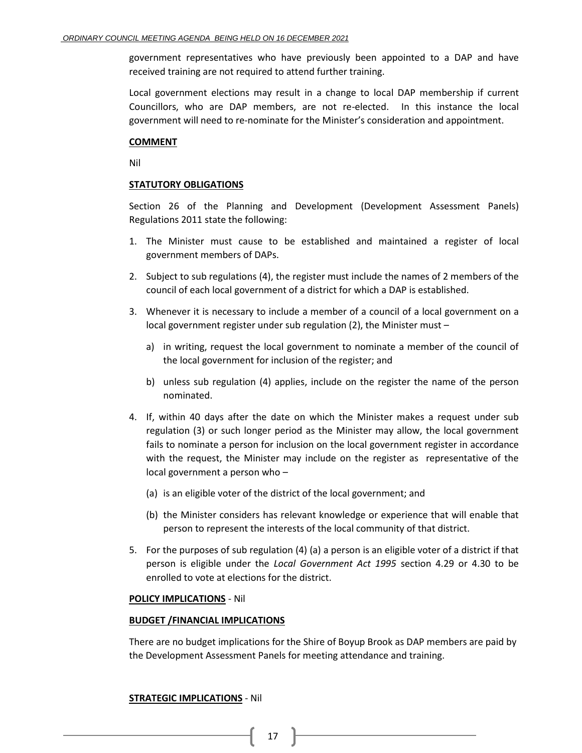government representatives who have previously been appointed to a DAP and have received training are not required to attend further training.

Local government elections may result in a change to local DAP membership if current Councillors, who are DAP members, are not re-elected. In this instance the local government will need to re-nominate for the Minister's consideration and appointment.

### **COMMENT**

Nil

# **STATUTORY OBLIGATIONS**

Section 26 of the Planning and Development (Development Assessment Panels) Regulations 2011 state the following:

- 1. The Minister must cause to be established and maintained a register of local government members of DAPs.
- 2. Subject to sub regulations (4), the register must include the names of 2 members of the council of each local government of a district for which a DAP is established.
- 3. Whenever it is necessary to include a member of a council of a local government on a local government register under sub regulation (2), the Minister must –
	- a) in writing, request the local government to nominate a member of the council of the local government for inclusion of the register; and
	- b) unless sub regulation (4) applies, include on the register the name of the person nominated.
- 4. If, within 40 days after the date on which the Minister makes a request under sub regulation (3) or such longer period as the Minister may allow, the local government fails to nominate a person for inclusion on the local government register in accordance with the request, the Minister may include on the register as representative of the local government a person who –
	- (a) is an eligible voter of the district of the local government; and
	- (b) the Minister considers has relevant knowledge or experience that will enable that person to represent the interests of the local community of that district.
- 5. For the purposes of sub regulation (4) (a) a person is an eligible voter of a district if that person is eligible under the *Local Government Act 1995* section 4.29 or 4.30 to be enrolled to vote at elections for the district.

### **POLICY IMPLICATIONS** - Nil

### **BUDGET /FINANCIAL IMPLICATIONS**

There are no budget implications for the Shire of Boyup Brook as DAP members are paid by the Development Assessment Panels for meeting attendance and training.

# **STRATEGIC IMPLICATIONS** - Nil